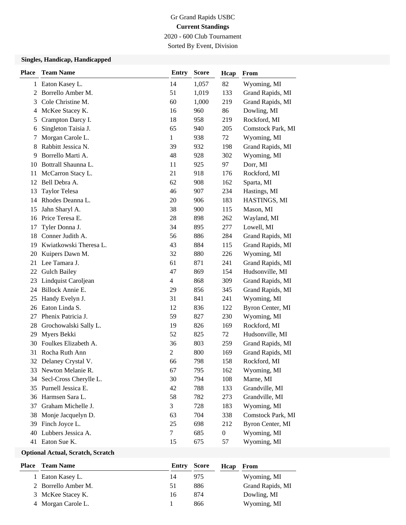# Gr Grand Rapids USBC **Current Standings** 2020 - 600 Club Tournament

Sorted By Event, Division

## **Singles, Handicap, Handicapped**

| <b>Place</b> | <b>Team Name</b>       | <b>Entry</b>   | <b>Score</b> | Hcap             | From              |
|--------------|------------------------|----------------|--------------|------------------|-------------------|
|              | 1 Eaton Kasey L.       | 14             | 1,057        | 82               | Wyoming, MI       |
| 2            | Borrello Amber M.      | 51             | 1,019        | 133              | Grand Rapids, MI  |
| 3            | Cole Christine M.      | 60             | 1,000        | 219              | Grand Rapids, MI  |
| 4            | McKee Stacey K.        | 16             | 960          | 86               | Dowling, MI       |
| 5            | Crampton Darcy I.      | 18             | 958          | 219              | Rockford, MI      |
| 6            | Singleton Taisia J.    | 65             | 940          | 205              | Comstock Park, MI |
| 7            | Morgan Carole L.       | $\mathbf{1}$   | 938          | 72               | Wyoming, MI       |
| 8            | Rabbitt Jessica N.     | 39             | 932          | 198              | Grand Rapids, MI  |
| 9            | Borrello Marti A.      | 48             | 928          | 302              | Wyoming, MI       |
| 10           | Bottrall Shaunna L.    | 11             | 925          | 97               | Dorr, MI          |
| 11           | McCarron Stacy L.      | 21             | 918          | 176              | Rockford, MI      |
| 12           | Bell Debra A.          | 62             | 908          | 162              | Sparta, MI        |
| 13           | <b>Taylor Telesa</b>   | 46             | 907          | 234              | Hastings, MI      |
| 14           | Rhodes Deanna L.       | 20             | 906          | 183              | HASTINGS, MI      |
| 15           | Jahn Sharyl A.         | 38             | 900          | 115              | Mason, MI         |
| 16           | Price Teresa E.        | 28             | 898          | 262              | Wayland, MI       |
| 17           | Tyler Donna J.         | 34             | 895          | 277              | Lowell, MI        |
| 18           | Conner Judith A.       | 56             | 886          | 284              | Grand Rapids, MI  |
| 19           | Kwiatkowski Theresa L. | 43             | 884          | 115              | Grand Rapids, MI  |
| 20           | Kuipers Dawn M.        | 32             | 880          | 226              | Wyoming, MI       |
| 21           | Lee Tamara J.          | 61             | 871          | 241              | Grand Rapids, MI  |
| 22           | <b>Gulch Bailey</b>    | 47             | 869          | 154              | Hudsonville, MI   |
| 23           | Lindquist Caroljean    | 4              | 868          | 309              | Grand Rapids, MI  |
| 24           | Billock Annie E.       | 29             | 856          | 345              | Grand Rapids, MI  |
| 25           | Handy Evelyn J.        | 31             | 841          | 241              | Wyoming, MI       |
| 26           | Eaton Linda S.         | 12             | 836          | 122              | Byron Center, MI  |
| 27           | Phenix Patricia J.     | 59             | 827          | 230              | Wyoming, MI       |
| 28           | Grochowalski Sally L.  | 19             | 826          | 169              | Rockford, MI      |
| 29           | Myers Bekki            | 52             | 825          | 72               | Hudsonville, MI   |
| 30           | Foulkes Elizabeth A.   | 36             | 803          | 259              | Grand Rapids, MI  |
| 31           | Rocha Ruth Ann         | $\overline{c}$ | 800          | 169              | Grand Rapids, MI  |
| 32           | Delaney Crystal V.     | 66             | 798          | 158              | Rockford, MI      |
|              | 33 Newton Melanie R.   | 67             | 795          | 162              | Wyoming, MI       |
| 34           | Secl-Cross Cherylle L. | 30             | 794          | 108              | Marne, MI         |
| 35           | Purnell Jessica E.     | 42             | 788          | 133              | Grandville, MI    |
| 36           | Harmsen Sara L.        | 58             | 782          | 273              | Grandville, MI    |
| 37           | Graham Michelle J.     | 3              | 728          | 183              | Wyoming, MI       |
| 38           | Monje Jacquelyn D.     | 63             | 704          | 338              | Comstock Park, MI |
| 39           | Finch Joyce L.         | 25             | 698          | 212              | Byron Center, MI  |
| 40           | Lubbers Jessica A.     | 7              | 685          | $\boldsymbol{0}$ | Wyoming, MI       |
|              | 41 Eaton Sue K.        | 15             | 675          | 57               | Wyoming, MI       |

## **Optional Actual, Scratch, Scratch**

| <b>Place – Team Name</b> | Entry Score |     | Hcap | From             |
|--------------------------|-------------|-----|------|------------------|
| 1 Eaton Kasey L.         | 14          | 975 |      | Wyoming, MI      |
| 2 Borrello Amber M.      | 51          | 886 |      | Grand Rapids, MI |
| 3 McKee Stacey K.        | 16          | 874 |      | Dowling, MI      |
| 4 Morgan Carole L.       |             | 866 |      | Wyoming, MI      |
|                          |             |     |      |                  |